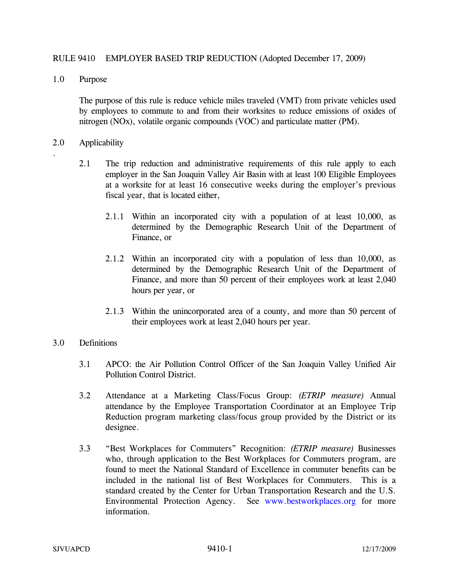## RULE 9410 EMPLOYER BASED TRIP REDUCTION (Adopted December 17, 2009)

1.0 Purpose

The purpose of this rule is reduce vehicle miles traveled (VMT) from private vehicles used by employees to commute to and from their worksites to reduce emissions of oxides of nitrogen (NOx), volatile organic compounds (VOC) and particulate matter (PM).

#### 2.0 Applicability

.

- 2.1 The trip reduction and administrative requirements of this rule apply to each employer in the San Joaquin Valley Air Basin with at least 100 Eligible Employees at a worksite for at least 16 consecutive weeks during the employer's previous fiscal year, that is located either,
	- 2.1.1 Within an incorporated city with a population of at least 10,000, as determined by the Demographic Research Unit of the Department of Finance, or
	- 2.1.2 Within an incorporated city with a population of less than 10,000, as determined by the Demographic Research Unit of the Department of Finance, and more than 50 percent of their employees work at least 2,040 hours per year, or
	- 2.1.3 Within the unincorporated area of a county, and more than 50 percent of their employees work at least 2,040 hours per year.

### 3.0 Definitions

- 3.1 APCO: the Air Pollution Control Officer of the San Joaquin Valley Unified Air Pollution Control District.
- 3.2 Attendance at a Marketing Class/Focus Group: *(ETRIP measure)* Annual attendance by the Employee Transportation Coordinator at an Employee Trip Reduction program marketing class/focus group provided by the District or its designee.
- 3.3 "Best Workplaces for Commuters" Recognition: *(ETRIP measure)* Businesses who, through application to the Best Workplaces for Commuters program, are found to meet the National Standard of Excellence in commuter benefits can be included in the national list of Best Workplaces for Commuters. This is a standard created by the Center for Urban Transportation Research and the U.S. Environmental Protection Agency. See [www.bestworkplaces.org](http://www.bestworkplaces.org/) for more information.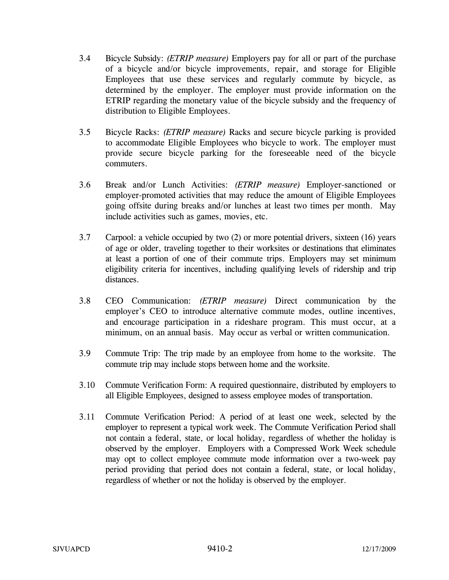- 3.4 Bicycle Subsidy: *(ETRIP measure)* Employers pay for all or part of the purchase of a bicycle and/or bicycle improvements, repair, and storage for Eligible Employees that use these services and regularly commute by bicycle, as determined by the employer. The employer must provide information on the ETRIP regarding the monetary value of the bicycle subsidy and the frequency of distribution to Eligible Employees.
- 3.5 Bicycle Racks: *(ETRIP measure)* Racks and secure bicycle parking is provided to accommodate Eligible Employees who bicycle to work. The employer must provide secure bicycle parking for the foreseeable need of the bicycle commuters.
- 3.6 Break and/or Lunch Activities: *(ETRIP measure)* Employer-sanctioned or employer-promoted activities that may reduce the amount of Eligible Employees going offsite during breaks and/or lunches at least two times per month. May include activities such as games, movies, etc.
- 3.7 Carpool: a vehicle occupied by two (2) or more potential drivers, sixteen (16) years of age or older, traveling together to their worksites or destinations that eliminates at least a portion of one of their commute trips. Employers may set minimum eligibility criteria for incentives, including qualifying levels of ridership and trip distances.
- 3.8 CEO Communication: *(ETRIP measure)* Direct communication by the employer's CEO to introduce alternative commute modes, outline incentives, and encourage participation in a rideshare program. This must occur, at a minimum, on an annual basis. May occur as verbal or written communication.
- 3.9 Commute Trip: The trip made by an employee from home to the worksite. The commute trip may include stops between home and the worksite.
- 3.10 Commute Verification Form: A required questionnaire, distributed by employers to all Eligible Employees, designed to assess employee modes of transportation.
- 3.11 Commute Verification Period: A period of at least one week, selected by the employer to represent a typical work week. The Commute Verification Period shall not contain a federal, state, or local holiday, regardless of whether the holiday is observed by the employer. Employers with a Compressed Work Week schedule may opt to collect employee commute mode information over a two-week pay period providing that period does not contain a federal, state, or local holiday, regardless of whether or not the holiday is observed by the employer.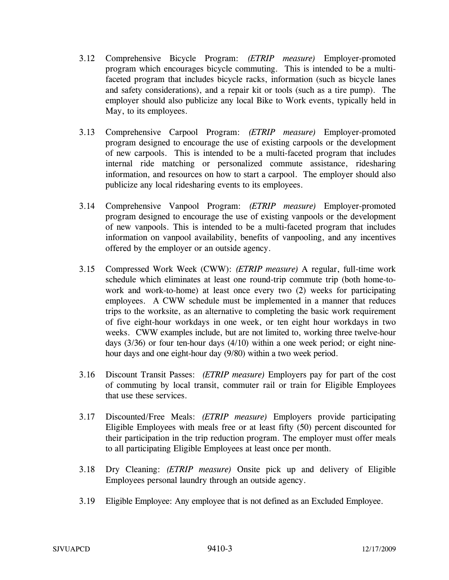- 3.12 Comprehensive Bicycle Program: *(ETRIP measure)* Employer-promoted program which encourages bicycle commuting. This is intended to be a multifaceted program that includes bicycle racks, information (such as bicycle lanes and safety considerations), and a repair kit or tools (such as a tire pump). The employer should also publicize any local Bike to Work events, typically held in May, to its employees.
- 3.13 Comprehensive Carpool Program: *(ETRIP measure)* Employer-promoted program designed to encourage the use of existing carpools or the development of new carpools. This is intended to be a multi-faceted program that includes internal ride matching or personalized commute assistance, ridesharing information, and resources on how to start a carpool. The employer should also publicize any local ridesharing events to its employees.
- 3.14 Comprehensive Vanpool Program: *(ETRIP measure)* Employer-promoted program designed to encourage the use of existing vanpools or the development of new vanpools. This is intended to be a multi-faceted program that includes information on vanpool availability, benefits of vanpooling, and any incentives offered by the employer or an outside agency.
- 3.15 Compressed Work Week (CWW): *(ETRIP measure)* A regular, full-time work schedule which eliminates at least one round-trip commute trip (both home-towork and work-to-home) at least once every two (2) weeks for participating employees. A CWW schedule must be implemented in a manner that reduces trips to the worksite, as an alternative to completing the basic work requirement of five eight-hour workdays in one week, or ten eight hour workdays in two weeks. CWW examples include, but are not limited to, working three twelve-hour days (3/36) or four ten-hour days (4/10) within a one week period; or eight ninehour days and one eight-hour day (9/80) within a two week period.
- 3.16 Discount Transit Passes: *(ETRIP measure)* Employers pay for part of the cost of commuting by local transit, commuter rail or train for Eligible Employees that use these services.
- 3.17 Discounted/Free Meals: *(ETRIP measure)* Employers provide participating Eligible Employees with meals free or at least fifty (50) percent discounted for their participation in the trip reduction program. The employer must offer meals to all participating Eligible Employees at least once per month.
- 3.18 Dry Cleaning: *(ETRIP measure)* Onsite pick up and delivery of Eligible Employees personal laundry through an outside agency.
- 3.19 Eligible Employee: Any employee that is not defined as an Excluded Employee.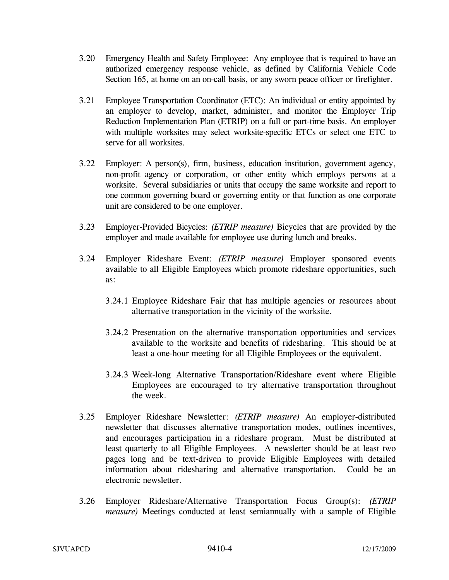- 3.20 Emergency Health and Safety Employee: Any employee that is required to have an authorized emergency response vehicle, as defined by California Vehicle Code Section 165, at home on an on-call basis, or any sworn peace officer or firefighter.
- 3.21 Employee Transportation Coordinator (ETC): An individual or entity appointed by an employer to develop, market, administer, and monitor the Employer Trip Reduction Implementation Plan (ETRIP) on a full or part-time basis. An employer with multiple worksites may select worksite-specific ETCs or select one ETC to serve for all worksites.
- 3.22 Employer: A person(s), firm, business, education institution, government agency, non-profit agency or corporation, or other entity which employs persons at a worksite. Several subsidiaries or units that occupy the same worksite and report to one common governing board or governing entity or that function as one corporate unit are considered to be one employer.
- 3.23 Employer-Provided Bicycles: *(ETRIP measure)* Bicycles that are provided by the employer and made available for employee use during lunch and breaks.
- 3.24 Employer Rideshare Event: *(ETRIP measure)* Employer sponsored events available to all Eligible Employees which promote rideshare opportunities, such as:
	- 3.24.1 Employee Rideshare Fair that has multiple agencies or resources about alternative transportation in the vicinity of the worksite.
	- 3.24.2 Presentation on the alternative transportation opportunities and services available to the worksite and benefits of ridesharing. This should be at least a one-hour meeting for all Eligible Employees or the equivalent.
	- 3.24.3 Week-long Alternative Transportation/Rideshare event where Eligible Employees are encouraged to try alternative transportation throughout the week.
- 3.25 Employer Rideshare Newsletter: *(ETRIP measure)* An employer-distributed newsletter that discusses alternative transportation modes, outlines incentives, and encourages participation in a rideshare program. Must be distributed at least quarterly to all Eligible Employees. A newsletter should be at least two pages long and be text-driven to provide Eligible Employees with detailed information about ridesharing and alternative transportation. Could be an electronic newsletter.
- 3.26 Employer Rideshare/Alternative Transportation Focus Group(s): *(ETRIP measure)* Meetings conducted at least semiannually with a sample of Eligible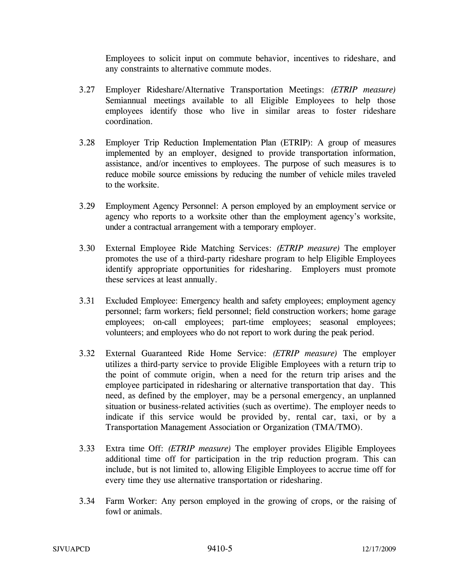Employees to solicit input on commute behavior, incentives to rideshare, and any constraints to alternative commute modes.

- 3.27 Employer Rideshare/Alternative Transportation Meetings: *(ETRIP measure)* Semiannual meetings available to all Eligible Employees to help those employees identify those who live in similar areas to foster rideshare coordination.
- 3.28 Employer Trip Reduction Implementation Plan (ETRIP): A group of measures implemented by an employer, designed to provide transportation information, assistance, and/or incentives to employees. The purpose of such measures is to reduce mobile source emissions by reducing the number of vehicle miles traveled to the worksite.
- 3.29 Employment Agency Personnel: A person employed by an employment service or agency who reports to a worksite other than the employment agency's worksite, under a contractual arrangement with a temporary employer.
- 3.30 External Employee Ride Matching Services: *(ETRIP measure)* The employer promotes the use of a third-party rideshare program to help Eligible Employees identify appropriate opportunities for ridesharing. Employers must promote these services at least annually.
- 3.31 Excluded Employee: Emergency health and safety employees; employment agency personnel; farm workers; field personnel; field construction workers; home garage employees; on-call employees; part-time employees; seasonal employees; volunteers; and employees who do not report to work during the peak period.
- 3.32 External Guaranteed Ride Home Service: *(ETRIP measure)* The employer utilizes a third-party service to provide Eligible Employees with a return trip to the point of commute origin, when a need for the return trip arises and the employee participated in ridesharing or alternative transportation that day. This need, as defined by the employer, may be a personal emergency, an unplanned situation or business-related activities (such as overtime). The employer needs to indicate if this service would be provided by, rental car, taxi, or by a Transportation Management Association or Organization (TMA/TMO).
- 3.33 Extra time Off: *(ETRIP measure)* The employer provides Eligible Employees additional time off for participation in the trip reduction program. This can include, but is not limited to, allowing Eligible Employees to accrue time off for every time they use alternative transportation or ridesharing.
- 3.34 Farm Worker: Any person employed in the growing of crops, or the raising of fowl or animals.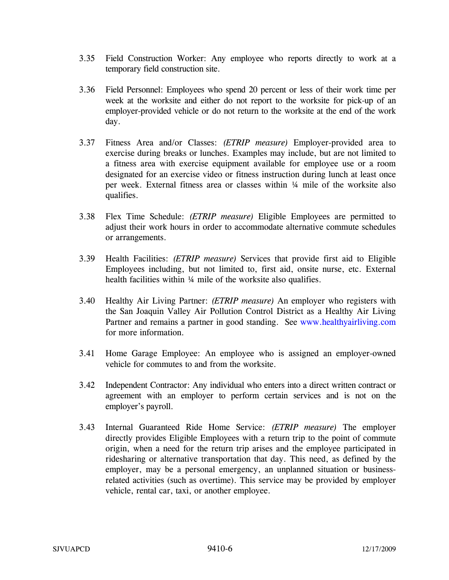- 3.35 Field Construction Worker: Any employee who reports directly to work at a temporary field construction site.
- 3.36 Field Personnel: Employees who spend 20 percent or less of their work time per week at the worksite and either do not report to the worksite for pick-up of an employer-provided vehicle or do not return to the worksite at the end of the work day.
- 3.37 Fitness Area and/or Classes: *(ETRIP measure)* Employer-provided area to exercise during breaks or lunches. Examples may include, but are not limited to a fitness area with exercise equipment available for employee use or a room designated for an exercise video or fitness instruction during lunch at least once per week. External fitness area or classes within ¼ mile of the worksite also qualifies.
- 3.38 Flex Time Schedule: *(ETRIP measure)* Eligible Employees are permitted to adjust their work hours in order to accommodate alternative commute schedules or arrangements.
- 3.39 Health Facilities: *(ETRIP measure)* Services that provide first aid to Eligible Employees including, but not limited to, first aid, onsite nurse, etc. External health facilities within ¼ mile of the worksite also qualifies.
- 3.40 Healthy Air Living Partner: *(ETRIP measure)* An employer who registers with the San Joaquin Valley Air Pollution Control District as a Healthy Air Living Partner and remains a partner in good standing. See [www.healthyairliving.com](http://www.healthyairliving.com/) for more information.
- 3.41 Home Garage Employee: An employee who is assigned an employer-owned vehicle for commutes to and from the worksite.
- 3.42 Independent Contractor: Any individual who enters into a direct written contract or agreement with an employer to perform certain services and is not on the employer's payroll.
- 3.43 Internal Guaranteed Ride Home Service: *(ETRIP measure)* The employer directly provides Eligible Employees with a return trip to the point of commute origin, when a need for the return trip arises and the employee participated in ridesharing or alternative transportation that day. This need, as defined by the employer, may be a personal emergency, an unplanned situation or businessrelated activities (such as overtime). This service may be provided by employer vehicle, rental car, taxi, or another employee.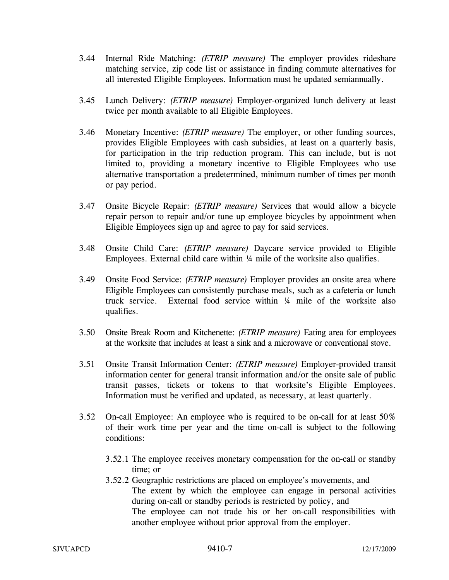- 3.44 Internal Ride Matching: *(ETRIP measure)* The employer provides rideshare matching service, zip code list or assistance in finding commute alternatives for all interested Eligible Employees. Information must be updated semiannually.
- 3.45 Lunch Delivery: *(ETRIP measure)* Employer-organized lunch delivery at least twice per month available to all Eligible Employees.
- 3.46 Monetary Incentive: *(ETRIP measure)* The employer, or other funding sources, provides Eligible Employees with cash subsidies, at least on a quarterly basis, for participation in the trip reduction program. This can include, but is not limited to, providing a monetary incentive to Eligible Employees who use alternative transportation a predetermined, minimum number of times per month or pay period.
- 3.47 Onsite Bicycle Repair: *(ETRIP measure)* Services that would allow a bicycle repair person to repair and/or tune up employee bicycles by appointment when Eligible Employees sign up and agree to pay for said services.
- 3.48 Onsite Child Care: *(ETRIP measure)* Daycare service provided to Eligible Employees. External child care within ¼ mile of the worksite also qualifies.
- 3.49 Onsite Food Service: *(ETRIP measure)* Employer provides an onsite area where Eligible Employees can consistently purchase meals, such as a cafeteria or lunch truck service. External food service within ¼ mile of the worksite also qualifies.
- 3.50 Onsite Break Room and Kitchenette: *(ETRIP measure)* Eating area for employees at the worksite that includes at least a sink and a microwave or conventional stove.
- 3.51 Onsite Transit Information Center: *(ETRIP measure)* Employer-provided transit information center for general transit information and/or the onsite sale of public transit passes, tickets or tokens to that worksite's Eligible Employees. Information must be verified and updated, as necessary, at least quarterly.
- 3.52 On-call Employee: An employee who is required to be on-call for at least 50% of their work time per year and the time on-call is subject to the following conditions:
	- 3.52.1 The employee receives monetary compensation for the on-call or standby time; or
	- 3.52.2 Geographic restrictions are placed on employee's movements, and The extent by which the employee can engage in personal activities during on-call or standby periods is restricted by policy, and The employee can not trade his or her on-call responsibilities with another employee without prior approval from the employer.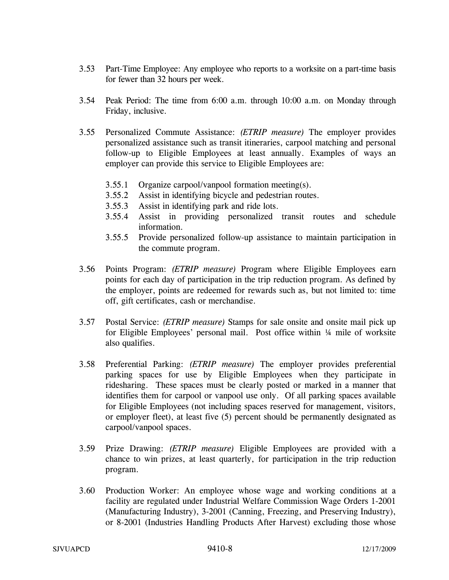- 3.53 Part-Time Employee: Any employee who reports to a worksite on a part-time basis for fewer than 32 hours per week.
- 3.54 Peak Period: The time from 6:00 a.m. through 10:00 a.m. on Monday through Friday, inclusive.
- 3.55 Personalized Commute Assistance: *(ETRIP measure)* The employer provides personalized assistance such as transit itineraries, carpool matching and personal follow-up to Eligible Employees at least annually. Examples of ways an employer can provide this service to Eligible Employees are:
	- 3.55.1 Organize carpool/vanpool formation meeting(s).
	- 3.55.2 Assist in identifying bicycle and pedestrian routes.
	- 3.55.3 Assist in identifying park and ride lots.
	- 3.55.4 Assist in providing personalized transit routes and schedule information.
	- 3.55.5 Provide personalized follow-up assistance to maintain participation in the commute program.
- 3.56 Points Program: *(ETRIP measure)* Program where Eligible Employees earn points for each day of participation in the trip reduction program. As defined by the employer, points are redeemed for rewards such as, but not limited to: time off, gift certificates, cash or merchandise.
- 3.57 Postal Service: *(ETRIP measure)* Stamps for sale onsite and onsite mail pick up for Eligible Employees' personal mail. Post office within ¼ mile of worksite also qualifies.
- 3.58 Preferential Parking: *(ETRIP measure)* The employer provides preferential parking spaces for use by Eligible Employees when they participate in ridesharing. These spaces must be clearly posted or marked in a manner that identifies them for carpool or vanpool use only. Of all parking spaces available for Eligible Employees (not including spaces reserved for management, visitors, or employer fleet), at least five (5) percent should be permanently designated as carpool/vanpool spaces.
- 3.59 Prize Drawing: *(ETRIP measure)* Eligible Employees are provided with a chance to win prizes, at least quarterly, for participation in the trip reduction program.
- 3.60 Production Worker: An employee whose wage and working conditions at a facility are regulated under Industrial Welfare Commission Wage Orders 1-2001 (Manufacturing Industry), 3-2001 (Canning, Freezing, and Preserving Industry), or 8-2001 (Industries Handling Products After Harvest) excluding those whose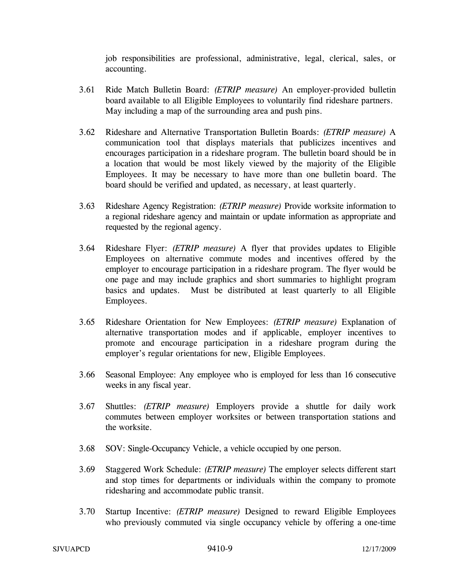job responsibilities are professional, administrative, legal, clerical, sales, or accounting.

- 3.61 Ride Match Bulletin Board: *(ETRIP measure)* An employer-provided bulletin board available to all Eligible Employees to voluntarily find rideshare partners. May including a map of the surrounding area and push pins.
- 3.62 Rideshare and Alternative Transportation Bulletin Boards: *(ETRIP measure)* A communication tool that displays materials that publicizes incentives and encourages participation in a rideshare program. The bulletin board should be in a location that would be most likely viewed by the majority of the Eligible Employees. It may be necessary to have more than one bulletin board. The board should be verified and updated, as necessary, at least quarterly.
- 3.63 Rideshare Agency Registration: *(ETRIP measure)* Provide worksite information to a regional rideshare agency and maintain or update information as appropriate and requested by the regional agency.
- 3.64 Rideshare Flyer: *(ETRIP measure)* A flyer that provides updates to Eligible Employees on alternative commute modes and incentives offered by the employer to encourage participation in a rideshare program. The flyer would be one page and may include graphics and short summaries to highlight program basics and updates. Must be distributed at least quarterly to all Eligible Employees.
- 3.65 Rideshare Orientation for New Employees: *(ETRIP measure)* Explanation of alternative transportation modes and if applicable, employer incentives to promote and encourage participation in a rideshare program during the employer's regular orientations for new, Eligible Employees.
- 3.66 Seasonal Employee: Any employee who is employed for less than 16 consecutive weeks in any fiscal year.
- 3.67 Shuttles: *(ETRIP measure)* Employers provide a shuttle for daily work commutes between employer worksites or between transportation stations and the worksite.
- 3.68 SOV: Single-Occupancy Vehicle, a vehicle occupied by one person.
- 3.69 Staggered Work Schedule: *(ETRIP measure)* The employer selects different start and stop times for departments or individuals within the company to promote ridesharing and accommodate public transit.
- 3.70 Startup Incentive: *(ETRIP measure)* Designed to reward Eligible Employees who previously commuted via single occupancy vehicle by offering a one-time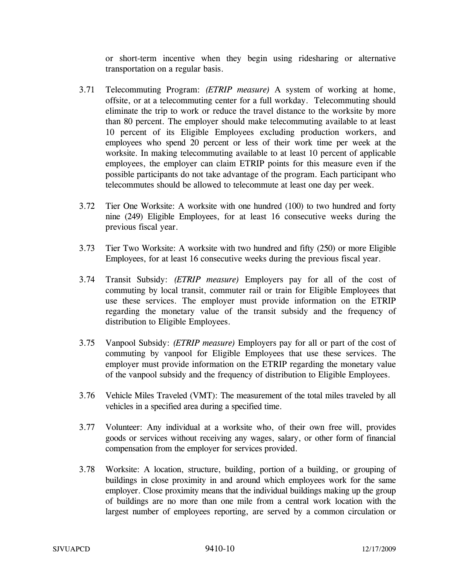or short-term incentive when they begin using ridesharing or alternative transportation on a regular basis.

- 3.71 Telecommuting Program: *(ETRIP measure)* A system of working at home, offsite, or at a telecommuting center for a full workday. Telecommuting should eliminate the trip to work or reduce the travel distance to the worksite by more than 80 percent. The employer should make telecommuting available to at least 10 percent of its Eligible Employees excluding production workers, and employees who spend 20 percent or less of their work time per week at the worksite. In making telecommuting available to at least 10 percent of applicable employees, the employer can claim ETRIP points for this measure even if the possible participants do not take advantage of the program. Each participant who telecommutes should be allowed to telecommute at least one day per week.
- 3.72 Tier One Worksite: A worksite with one hundred (100) to two hundred and forty nine (249) Eligible Employees, for at least 16 consecutive weeks during the previous fiscal year.
- 3.73 Tier Two Worksite: A worksite with two hundred and fifty (250) or more Eligible Employees, for at least 16 consecutive weeks during the previous fiscal year.
- 3.74 Transit Subsidy: *(ETRIP measure)* Employers pay for all of the cost of commuting by local transit, commuter rail or train for Eligible Employees that use these services. The employer must provide information on the ETRIP regarding the monetary value of the transit subsidy and the frequency of distribution to Eligible Employees.
- 3.75 Vanpool Subsidy: *(ETRIP measure)* Employers pay for all or part of the cost of commuting by vanpool for Eligible Employees that use these services. The employer must provide information on the ETRIP regarding the monetary value of the vanpool subsidy and the frequency of distribution to Eligible Employees.
- 3.76 Vehicle Miles Traveled (VMT): The measurement of the total miles traveled by all vehicles in a specified area during a specified time.
- 3.77 Volunteer: Any individual at a worksite who, of their own free will, provides goods or services without receiving any wages, salary, or other form of financial compensation from the employer for services provided.
- 3.78 Worksite: A location, structure, building, portion of a building, or grouping of buildings in close proximity in and around which employees work for the same employer. Close proximity means that the individual buildings making up the group of buildings are no more than one mile from a central work location with the largest number of employees reporting, are served by a common circulation or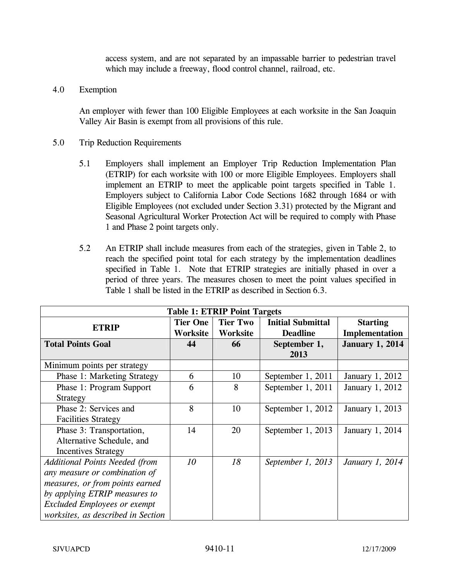access system, and are not separated by an impassable barrier to pedestrian travel which may include a freeway, flood control channel, railroad, etc.

## 4.0 Exemption

An employer with fewer than 100 Eligible Employees at each worksite in the San Joaquin Valley Air Basin is exempt from all provisions of this rule.

#### 5.0 Trip Reduction Requirements

- 5.1 Employers shall implement an Employer Trip Reduction Implementation Plan (ETRIP) for each worksite with 100 or more Eligible Employees. Employers shall implement an ETRIP to meet the applicable point targets specified in Table 1. Employers subject to California Labor Code Sections 1682 through 1684 or with Eligible Employees (not excluded under Section 3.31) protected by the Migrant and Seasonal Agricultural Worker Protection Act will be required to comply with Phase 1 and Phase 2 point targets only.
- 5.2 An ETRIP shall include measures from each of the strategies, given in Table 2, to reach the specified point total for each strategy by the implementation deadlines specified in Table 1. Note that ETRIP strategies are initially phased in over a period of three years. The measures chosen to meet the point values specified in Table 1 shall be listed in the ETRIP as described in Section 6.3.

| <b>Table 1: ETRIP Point Targets</b>   |                 |                 |                          |                        |  |
|---------------------------------------|-----------------|-----------------|--------------------------|------------------------|--|
| <b>ETRIP</b>                          | <b>Tier One</b> | <b>Tier Two</b> | <b>Initial Submittal</b> | <b>Starting</b>        |  |
|                                       | Worksite        | Worksite        | <b>Deadline</b>          | Implementation         |  |
| <b>Total Points Goal</b>              | 44              | 66              | September 1,             | <b>January 1, 2014</b> |  |
|                                       |                 |                 | 2013                     |                        |  |
| Minimum points per strategy           |                 |                 |                          |                        |  |
| <b>Phase 1: Marketing Strategy</b>    | 6               | 10              | September 1, 2011        | January 1, 2012        |  |
| Phase 1: Program Support              | 6               | 8               | September 1, 2011        | January 1, 2012        |  |
| Strategy                              |                 |                 |                          |                        |  |
| Phase 2: Services and                 | 8               | 10              | September 1, 2012        | January 1, 2013        |  |
| <b>Facilities Strategy</b>            |                 |                 |                          |                        |  |
| Phase 3: Transportation,              | 14              | 20              | September 1, 2013        | January 1, 2014        |  |
| Alternative Schedule, and             |                 |                 |                          |                        |  |
| <b>Incentives Strategy</b>            |                 |                 |                          |                        |  |
| <b>Additional Points Needed (from</b> | 10              | 18              | September 1, 2013        | January 1, 2014        |  |
| any measure or combination of         |                 |                 |                          |                        |  |
| measures, or from points earned       |                 |                 |                          |                        |  |
| by applying ETRIP measures to         |                 |                 |                          |                        |  |
| <b>Excluded Employees or exempt</b>   |                 |                 |                          |                        |  |
| worksites, as described in Section    |                 |                 |                          |                        |  |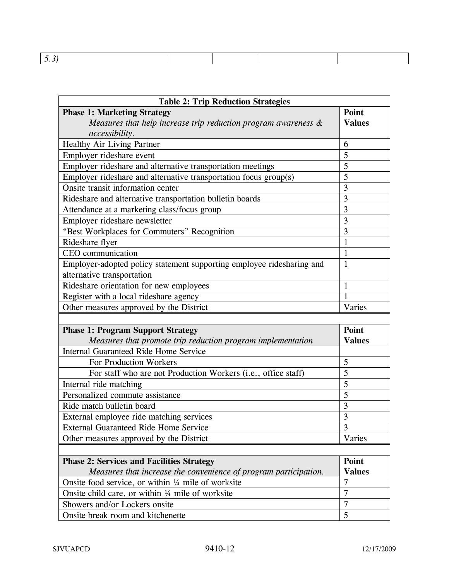| <b>Table 2: Trip Reduction Strategies</b>                             |                |  |  |
|-----------------------------------------------------------------------|----------------|--|--|
| <b>Phase 1: Marketing Strategy</b>                                    | Point          |  |  |
| Measures that help increase trip reduction program awareness $\&$     | <b>Values</b>  |  |  |
| <i>accessibility.</i>                                                 |                |  |  |
| Healthy Air Living Partner                                            | 6              |  |  |
| Employer rideshare event                                              | 5              |  |  |
| Employer rideshare and alternative transportation meetings            | 5              |  |  |
| Employer rideshare and alternative transportation focus group(s)      | 5              |  |  |
| Onsite transit information center                                     | 3              |  |  |
| Rideshare and alternative transportation bulletin boards              | 3              |  |  |
| Attendance at a marketing class/focus group                           | 3              |  |  |
| Employer rideshare newsletter                                         | 3              |  |  |
| "Best Workplaces for Commuters" Recognition                           | $\overline{3}$ |  |  |
| Rideshare flyer                                                       | $\mathbf{1}$   |  |  |
| CEO communication                                                     | $\mathbf{1}$   |  |  |
| Employer-adopted policy statement supporting employee ridesharing and | $\mathbf{1}$   |  |  |
| alternative transportation                                            |                |  |  |
| Rideshare orientation for new employees                               | 1              |  |  |
| Register with a local rideshare agency                                | $\mathbf{1}$   |  |  |
| Other measures approved by the District                               | Varies         |  |  |
|                                                                       |                |  |  |
| <b>Phase 1: Program Support Strategy</b>                              | Point          |  |  |
| Measures that promote trip reduction program implementation           | <b>Values</b>  |  |  |
| <b>Internal Guaranteed Ride Home Service</b>                          |                |  |  |
| For Production Workers                                                | 5              |  |  |
| For staff who are not Production Workers (i.e., office staff)         | 5              |  |  |
| Internal ride matching                                                | 5              |  |  |
| Personalized commute assistance                                       | 5              |  |  |
| Ride match bulletin board                                             | 3              |  |  |
| External employee ride matching services                              | $\overline{3}$ |  |  |
| <b>External Guaranteed Ride Home Service</b>                          | 3              |  |  |
| Other measures approved by the District                               | Varies         |  |  |
|                                                                       |                |  |  |
| <b>Phase 2: Services and Facilities Strategy</b>                      | Point          |  |  |
| Measures that increase the convenience of program participation.      | <b>Values</b>  |  |  |
|                                                                       |                |  |  |
| Onsite food service, or within 1/4 mile of worksite                   | $\overline{7}$ |  |  |
| Onsite child care, or within 1/4 mile of worksite                     | $\overline{7}$ |  |  |
| Showers and/or Lockers onsite                                         | $\overline{7}$ |  |  |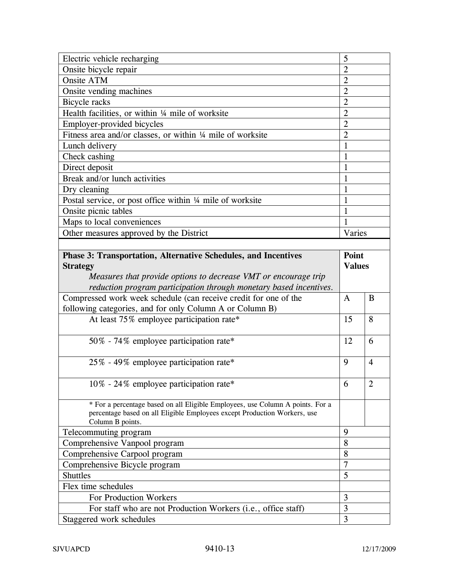| Electric vehicle recharging                                                               | 5              |                |
|-------------------------------------------------------------------------------------------|----------------|----------------|
| Onsite bicycle repair                                                                     | $\overline{2}$ |                |
| <b>Onsite ATM</b>                                                                         | $\overline{2}$ |                |
| Onsite vending machines                                                                   | $\overline{2}$ |                |
| Bicycle racks                                                                             | $\overline{2}$ |                |
| Health facilities, or within 1/4 mile of worksite                                         | $\overline{2}$ |                |
| Employer-provided bicycles                                                                | $\overline{2}$ |                |
| Fitness area and/or classes, or within 1/4 mile of worksite                               | $\overline{2}$ |                |
| Lunch delivery                                                                            | $\mathbf{1}$   |                |
| Check cashing                                                                             | 1              |                |
| Direct deposit                                                                            | $\mathbf{1}$   |                |
| Break and/or lunch activities                                                             | 1              |                |
| Dry cleaning                                                                              | $\mathbf{1}$   |                |
| Postal service, or post office within 1/4 mile of worksite                                | 1              |                |
| Onsite picnic tables                                                                      | $\mathbf{1}$   |                |
| Maps to local conveniences                                                                | 1              |                |
| Other measures approved by the District                                                   | Varies         |                |
|                                                                                           |                |                |
| <b>Phase 3: Transportation, Alternative Schedules, and Incentives</b>                     | <b>Point</b>   |                |
| <b>Strategy</b>                                                                           | <b>Values</b>  |                |
| Measures that provide options to decrease VMT or encourage trip                           |                |                |
| reduction program participation through monetary based incentives.                        |                |                |
| Compressed work week schedule (can receive credit for one of the                          | $\mathbf{A}$   | B              |
|                                                                                           |                |                |
| following categories, and for only Column A or Column B)                                  |                |                |
| At least 75% employee participation rate*                                                 | 15             | 8              |
|                                                                                           |                |                |
| 50% - 74% employee participation rate*                                                    | 12             | 6              |
|                                                                                           |                |                |
| 25% - 49% employee participation rate*                                                    | 9              | $\overline{4}$ |
|                                                                                           |                |                |
| 10% - 24% employee participation rate*                                                    | 6              | $\overline{2}$ |
|                                                                                           |                |                |
| * For a percentage based on all Eligible Employees, use Column A points. For a            |                |                |
| percentage based on all Eligible Employees except Production Workers, use                 |                |                |
| Column B points.                                                                          |                |                |
| Telecommuting program                                                                     | 9              |                |
| Comprehensive Vanpool program                                                             | 8              |                |
| Comprehensive Carpool program                                                             | 8              |                |
| Comprehensive Bicycle program                                                             | $\overline{7}$ |                |
| <b>Shuttles</b>                                                                           | 5              |                |
| Flex time schedules                                                                       |                |                |
| For Production Workers                                                                    | 3              |                |
| For staff who are not Production Workers (i.e., office staff)<br>Staggered work schedules | 3<br>3         |                |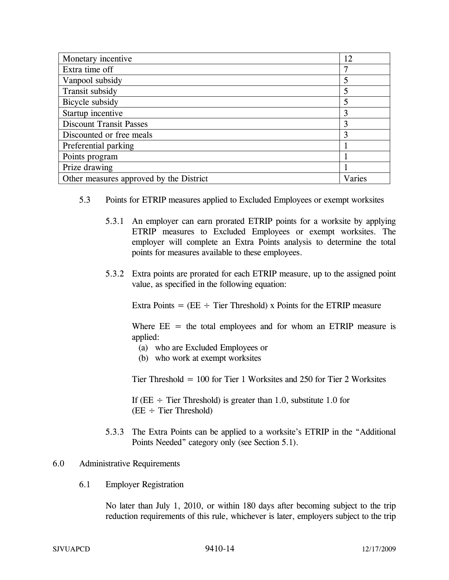| Monetary incentive                      | 12     |
|-----------------------------------------|--------|
| Extra time off                          | 7      |
| Vanpool subsidy                         | 5      |
| Transit subsidy                         | 5      |
| Bicycle subsidy                         | 5      |
| Startup incentive                       | 3      |
| <b>Discount Transit Passes</b>          | 3      |
| Discounted or free meals                | 3      |
| Preferential parking                    |        |
| Points program                          |        |
| Prize drawing                           |        |
| Other measures approved by the District | Varies |

- 5.3 Points for ETRIP measures applied to Excluded Employees or exempt worksites
	- 5.3.1 An employer can earn prorated ETRIP points for a worksite by applying ETRIP measures to Excluded Employees or exempt worksites. The employer will complete an Extra Points analysis to determine the total points for measures available to these employees.
	- 5.3.2 Extra points are prorated for each ETRIP measure, up to the assigned point value, as specified in the following equation:

Extra Points =  $(EE \div$  Tier Threshold) x Points for the ETRIP measure

Where  $EE =$  the total employees and for whom an ETRIP measure is applied:

(a) who are Excluded Employees or

(b) who work at exempt worksites

Tier Threshold = 100 for Tier 1 Worksites and 250 for Tier 2 Worksites

If ( $EE \div$  Tier Threshold) is greater than 1.0, substitute 1.0 for  $(EE \div$  Tier Threshold)

5.3.3 The Extra Points can be applied to a worksite's ETRIP in the "Additional Points Needed" category only (see Section 5.1).

## 6.0 Administrative Requirements

6.1 Employer Registration

 No later than July 1, 2010, or within 180 days after becoming subject to the trip reduction requirements of this rule, whichever is later, employers subject to the trip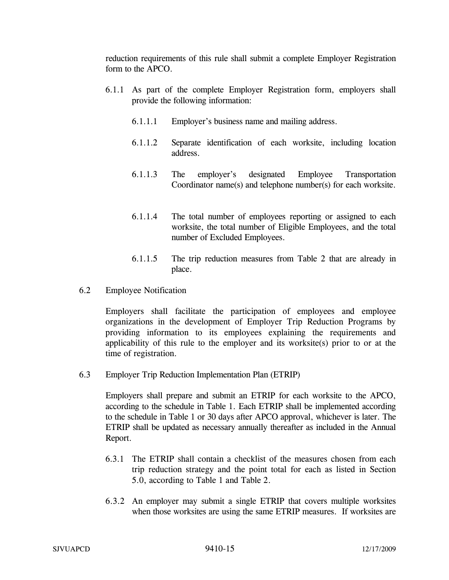reduction requirements of this rule shall submit a complete Employer Registration form to the APCO.

- 6.1.1 As part of the complete Employer Registration form, employers shall provide the following information:
	- 6.1.1.1 Employer's business name and mailing address.
	- 6.1.1.2 Separate identification of each worksite, including location address.
	- 6.1.1.3 The employer's designated Employee Transportation Coordinator name(s) and telephone number(s) for each worksite.
	- 6.1.1.4 The total number of employees reporting or assigned to each worksite, the total number of Eligible Employees, and the total number of Excluded Employees.
	- 6.1.1.5 The trip reduction measures from Table 2 that are already in place.
- 6.2 Employee Notification

Employers shall facilitate the participation of employees and employee organizations in the development of Employer Trip Reduction Programs by providing information to its employees explaining the requirements and applicability of this rule to the employer and its worksite(s) prior to or at the time of registration.

6.3 Employer Trip Reduction Implementation Plan (ETRIP)

Employers shall prepare and submit an ETRIP for each worksite to the APCO, according to the schedule in Table 1. Each ETRIP shall be implemented according to the schedule in Table 1 or 30 days after APCO approval, whichever is later. The ETRIP shall be updated as necessary annually thereafter as included in the Annual Report.

- 6.3.1 The ETRIP shall contain a checklist of the measures chosen from each trip reduction strategy and the point total for each as listed in Section 5.0, according to Table 1 and Table 2.
- 6.3.2 An employer may submit a single ETRIP that covers multiple worksites when those worksites are using the same ETRIP measures. If worksites are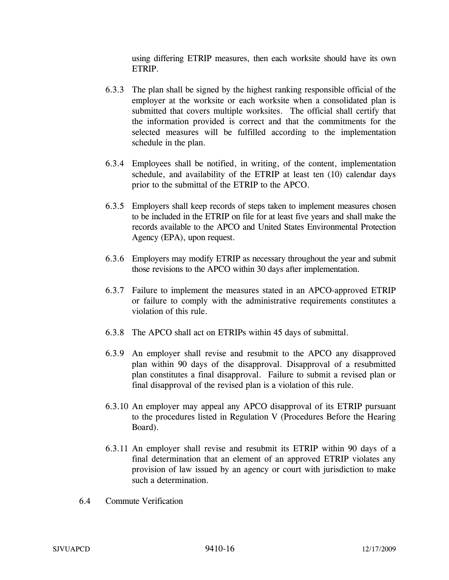using differing ETRIP measures, then each worksite should have its own ETRIP.

- 6.3.3 The plan shall be signed by the highest ranking responsible official of the employer at the worksite or each worksite when a consolidated plan is submitted that covers multiple worksites. The official shall certify that the information provided is correct and that the commitments for the selected measures will be fulfilled according to the implementation schedule in the plan.
- 6.3.4 Employees shall be notified, in writing, of the content, implementation schedule, and availability of the ETRIP at least ten (10) calendar days prior to the submittal of the ETRIP to the APCO.
- 6.3.5 Employers shall keep records of steps taken to implement measures chosen to be included in the ETRIP on file for at least five years and shall make the records available to the APCO and United States Environmental Protection Agency (EPA), upon request.
- 6.3.6 Employers may modify ETRIP as necessary throughout the year and submit those revisions to the APCO within 30 days after implementation.
- 6.3.7 Failure to implement the measures stated in an APCO-approved ETRIP or failure to comply with the administrative requirements constitutes a violation of this rule.
- 6.3.8 The APCO shall act on ETRIPs within 45 days of submittal.
- 6.3.9 An employer shall revise and resubmit to the APCO any disapproved plan within 90 days of the disapproval. Disapproval of a resubmitted plan constitutes a final disapproval. Failure to submit a revised plan or final disapproval of the revised plan is a violation of this rule.
- 6.3.10 An employer may appeal any APCO disapproval of its ETRIP pursuant to the procedures listed in Regulation V (Procedures Before the Hearing Board).
- 6.3.11 An employer shall revise and resubmit its ETRIP within 90 days of a final determination that an element of an approved ETRIP violates any provision of law issued by an agency or court with jurisdiction to make such a determination.
- 6.4 Commute Verification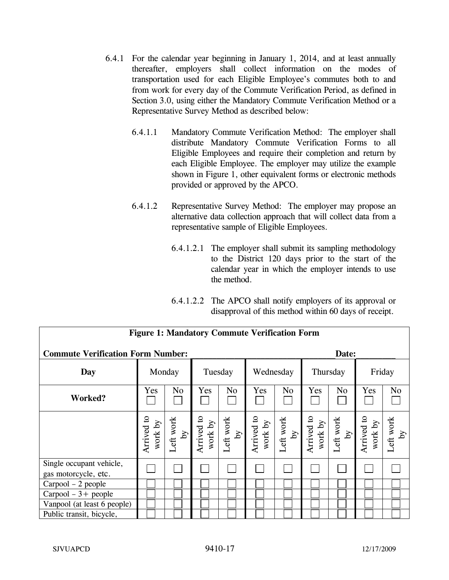- 6.4.1 For the calendar year beginning in January 1, 2014, and at least annually thereafter, employers shall collect information on the modes of transportation used for each Eligible Employee's commutes both to and from work for every day of the Commute Verification Period, as defined in Section 3.0, using either the Mandatory Commute Verification Method or a Representative Survey Method as described below:
	- 6.4.1.1 Mandatory Commute Verification Method: The employer shall distribute Mandatory Commute Verification Forms to all Eligible Employees and require their completion and return by each Eligible Employee. The employer may utilize the example shown in Figure 1, other equivalent forms or electronic methods provided or approved by the APCO.
	- 6.4.1.2 Representative Survey Method: The employer may propose an alternative data collection approach that will collect data from a representative sample of Eligible Employees.
		- 6.4.1.2.1 The employer shall submit its sampling methodology to the District 120 days prior to the start of the calendar year in which the employer intends to use the method.
		- 6.4.1.2.2 The APCO shall notify employers of its approval or disapproval of this method within 60 days of receipt.

| <b>Figure 1: Mandatory Commute Verification Form</b>                                                    |                       |                |                       |                 |                       |                 |                       |                |                       |                |
|---------------------------------------------------------------------------------------------------------|-----------------------|----------------|-----------------------|-----------------|-----------------------|-----------------|-----------------------|----------------|-----------------------|----------------|
| <b>Commute Verification Form Number:</b><br>Date:                                                       |                       |                |                       |                 |                       |                 |                       |                |                       |                |
| Day                                                                                                     |                       | Monday         |                       | Tuesday         |                       | Wednesday       |                       | Thursday       |                       | Friday         |
| Worked?                                                                                                 | Yes                   | N <sub>0</sub> | Yes                   | N <sub>0</sub>  | Yes                   | N <sub>0</sub>  | Yes                   | N <sub>0</sub> | Yes                   | N <sub>0</sub> |
|                                                                                                         | Arrived to<br>work by | Left work by   | Arrived to<br>work by | Left work<br>by | Arrived to<br>work by | Left work<br>by | Arrived to<br>work by | Left work by   | Arrived to<br>work by | Left work by   |
| Single occupant vehicle,<br>gas motorcycle, etc.                                                        |                       |                |                       |                 |                       |                 |                       |                |                       |                |
| Carpool – 2 people<br>$Carpool - 3 + people$<br>Vanpool (at least 6 people)<br>Public transit, bicycle, |                       |                |                       |                 |                       |                 |                       |                |                       |                |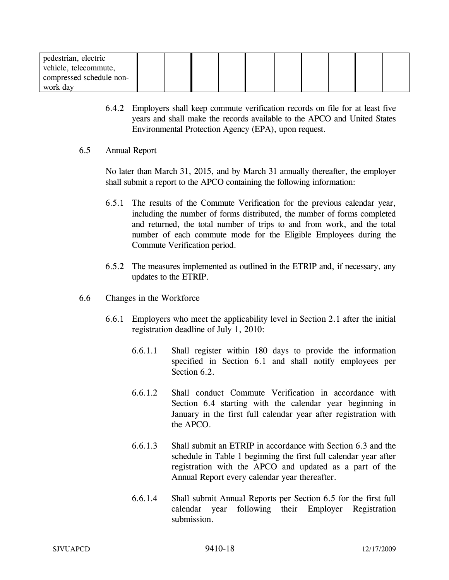| pedestrian, electric     |  |  |  |  |  |
|--------------------------|--|--|--|--|--|
| vehicle, telecommute,    |  |  |  |  |  |
| compressed schedule non- |  |  |  |  |  |
| work day                 |  |  |  |  |  |

- 6.4.2 Employers shall keep commute verification records on file for at least five years and shall make the records available to the APCO and United States Environmental Protection Agency (EPA), upon request.
- 6.5 Annual Report

No later than March 31, 2015, and by March 31 annually thereafter, the employer shall submit a report to the APCO containing the following information:

- 6.5.1 The results of the Commute Verification for the previous calendar year, including the number of forms distributed, the number of forms completed and returned, the total number of trips to and from work, and the total number of each commute mode for the Eligible Employees during the Commute Verification period.
- 6.5.2 The measures implemented as outlined in the ETRIP and, if necessary, any updates to the ETRIP.
- 6.6 Changes in the Workforce
	- 6.6.1 Employers who meet the applicability level in Section 2.1 after the initial registration deadline of July 1, 2010:
		- 6.6.1.1 Shall register within 180 days to provide the information specified in Section 6.1 and shall notify employees per Section 6.2.
		- 6.6.1.2 Shall conduct Commute Verification in accordance with Section 6.4 starting with the calendar year beginning in January in the first full calendar year after registration with the APCO.
		- 6.6.1.3 Shall submit an ETRIP in accordance with Section 6.3 and the schedule in Table 1 beginning the first full calendar year after registration with the APCO and updated as a part of the Annual Report every calendar year thereafter.
		- 6.6.1.4 Shall submit Annual Reports per Section 6.5 for the first full calendar year following their Employer Registration submission.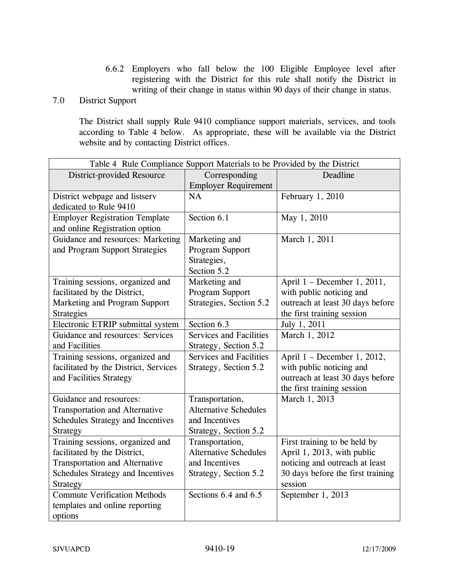- 6.6.2 Employers who fall below the 100 Eligible Employee level after registering with the District for this rule shall notify the District in writing of their change in status within 90 days of their change in status.
- 7.0 District Support

 The District shall supply Rule 9410 compliance support materials, services, and tools according to Table 4 below. As appropriate, these will be available via the District website and by contacting District offices.

| Table 4 Rule Compliance Support Materials to be Provided by the District |                                |                                   |  |  |
|--------------------------------------------------------------------------|--------------------------------|-----------------------------------|--|--|
| District-provided Resource                                               | Corresponding                  | Deadline                          |  |  |
|                                                                          | <b>Employer Requirement</b>    |                                   |  |  |
| District webpage and listserv                                            | <b>NA</b>                      | February 1, 2010                  |  |  |
| dedicated to Rule 9410                                                   |                                |                                   |  |  |
| <b>Employer Registration Template</b>                                    | Section 6.1                    | May 1, 2010                       |  |  |
| and online Registration option                                           |                                |                                   |  |  |
| Guidance and resources: Marketing                                        | Marketing and                  | March 1, 2011                     |  |  |
| and Program Support Strategies                                           | Program Support                |                                   |  |  |
|                                                                          | Strategies,                    |                                   |  |  |
|                                                                          | Section 5.2                    |                                   |  |  |
| Training sessions, organized and                                         | Marketing and                  | April 1 - December 1, 2011,       |  |  |
| facilitated by the District,                                             | Program Support                | with public noticing and          |  |  |
| Marketing and Program Support                                            | Strategies, Section 5.2        | outreach at least 30 days before  |  |  |
| <b>Strategies</b>                                                        |                                | the first training session        |  |  |
| Electronic ETRIP submittal system                                        | Section 6.3                    | July 1, 2011                      |  |  |
| Guidance and resources: Services                                         | <b>Services and Facilities</b> | March 1, 2012                     |  |  |
| and Facilities                                                           | Strategy, Section 5.2          |                                   |  |  |
| Training sessions, organized and                                         | <b>Services and Facilities</b> | April 1 - December 1, 2012,       |  |  |
| facilitated by the District, Services                                    | Strategy, Section 5.2          | with public noticing and          |  |  |
| and Facilities Strategy                                                  |                                | outreach at least 30 days before  |  |  |
|                                                                          |                                | the first training session        |  |  |
| Guidance and resources:                                                  | Transportation,                | March 1, 2013                     |  |  |
| <b>Transportation and Alternative</b>                                    | <b>Alternative Schedules</b>   |                                   |  |  |
| Schedules Strategy and Incentives                                        | and Incentives                 |                                   |  |  |
| Strategy                                                                 | Strategy, Section 5.2          |                                   |  |  |
| Training sessions, organized and                                         | Transportation,                | First training to be held by      |  |  |
| facilitated by the District,                                             | <b>Alternative Schedules</b>   | April 1, 2013, with public        |  |  |
| <b>Transportation and Alternative</b>                                    | and Incentives                 | noticing and outreach at least    |  |  |
| Schedules Strategy and Incentives                                        | Strategy, Section 5.2          | 30 days before the first training |  |  |
| <b>Strategy</b>                                                          |                                | session                           |  |  |
| <b>Commute Verification Methods</b>                                      | Sections 6.4 and 6.5           | September 1, 2013                 |  |  |
| templates and online reporting                                           |                                |                                   |  |  |
| options                                                                  |                                |                                   |  |  |